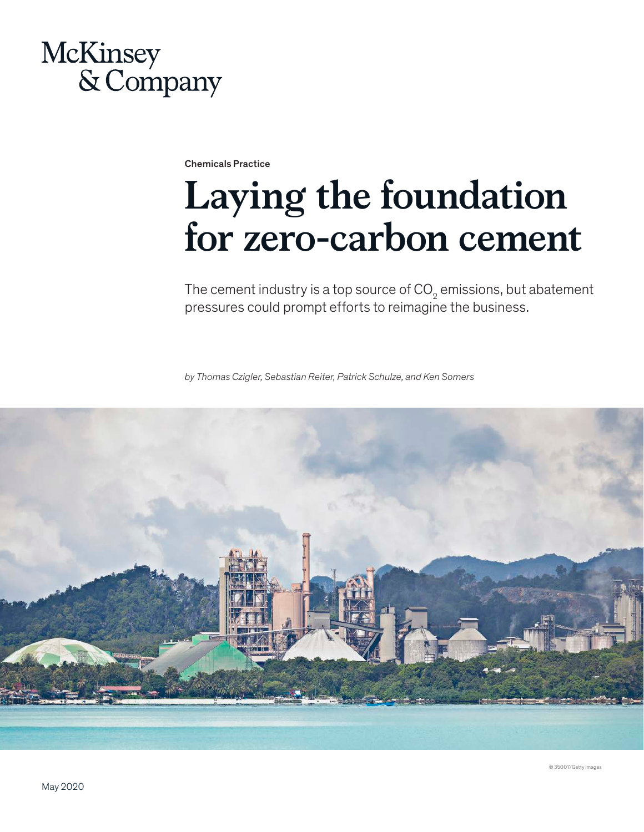# McKinsey & Company

Chemicals Practice

# **Laying the foundation for zero-carbon cement**

The cement industry is a top source of CO $_{\textrm{\tiny{2}}}$  emissions, but abatement pressures could prompt efforts to reimagine the business.

*by Thomas Czigler, Sebastian Reiter, Patrick Schulze, and Ken Somers*

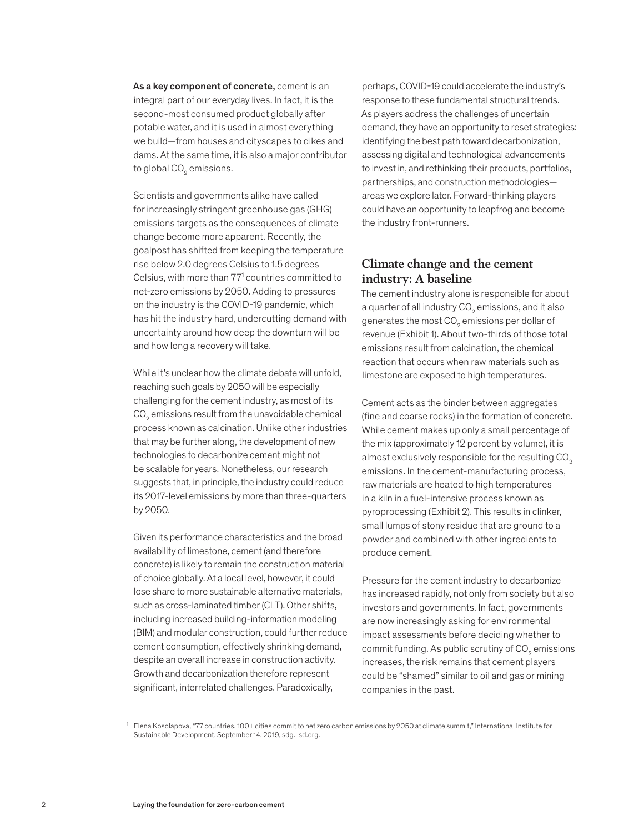As a key component of concrete, cement is an integral part of our everyday lives. In fact, it is the second-most consumed product globally after potable water, and it is used in almost everything we build—from houses and cityscapes to dikes and dams. At the same time, it is also a major contributor to global CO $_{\textrm{\tiny{2}}}$  emissions.

Scientists and governments alike have called for increasingly stringent greenhouse gas (GHG) emissions targets as the consequences of climate change become more apparent. Recently, the goalpost has shifted from keeping the temperature rise below 2.0 degrees Celsius to 1.5 degrees Celsius, with more than  $77<sup>1</sup>$  countries committed to net-zero emissions by 2050. Adding to pressures on the industry is the COVID-19 pandemic, which has hit the industry hard, undercutting demand with uncertainty around how deep the downturn will be and how long a recovery will take.

While it's unclear how the climate debate will unfold, reaching such goals by 2050 will be especially challenging for the cement industry, as most of its  $\mathrm{CO}_2$  emissions result from the unavoidable chemical process known as calcination. Unlike other industries that may be further along, the development of new technologies to decarbonize cement might not be scalable for years. Nonetheless, our research suggests that, in principle, the industry could reduce its 2017-level emissions by more than three-quarters by 2050.

Given its performance characteristics and the broad availability of limestone, cement (and therefore concrete) is likely to remain the construction material of choice globally. At a local level, however, it could lose share to more sustainable alternative materials, such as cross-laminated timber (CLT). Other shifts, including increased building-information modeling (BIM) and modular construction, could further reduce cement consumption, effectively shrinking demand, despite an overall increase in construction activity. Growth and decarbonization therefore represent significant, interrelated challenges. Paradoxically,

perhaps, COVID-19 could accelerate the industry's response to these fundamental structural trends. As players address the challenges of uncertain demand, they have an opportunity to reset strategies: identifying the best path toward decarbonization, assessing digital and technological advancements to invest in, and rethinking their products, portfolios, partnerships, and construction methodologies areas we explore later. Forward-thinking players could have an opportunity to leapfrog and become the industry front-runners.

## **Climate change and the cement industry: A baseline**

The cement industry alone is responsible for about a quarter of all industry CO $_{\textrm{\tiny{2}}}$  emissions, and it also generates the most CO $_2$  emissions per dollar of revenue (Exhibit 1). About two-thirds of those total emissions result from calcination, the chemical reaction that occurs when raw materials such as limestone are exposed to high temperatures.

Cement acts as the binder between aggregates (fine and coarse rocks) in the formation of concrete. While cement makes up only a small percentage of the mix (approximately 12 percent by volume), it is almost exclusively responsible for the resulting  $CO<sub>2</sub>$ emissions. In the cement-manufacturing process, raw materials are heated to high temperatures in a kiln in a fuel-intensive process known as pyroprocessing (Exhibit 2). This results in clinker, small lumps of stony residue that are ground to a powder and combined with other ingredients to produce cement.

Pressure for the cement industry to decarbonize has increased rapidly, not only from society but also investors and governments. In fact, governments are now increasingly asking for environmental impact assessments before deciding whether to commit funding. As public scrutiny of CO $_{\textrm{\tiny{\it 2}}}$  emissions increases, the risk remains that cement players could be "shamed" similar to oil and gas or mining companies in the past.

<sup>1</sup> Elena Kosolapova, "77 countries, 100+ cities commit to net zero carbon emissions by 2050 at climate summit," International Institute for Sustainable Development, September 14, 2019, sdg.iisd.org.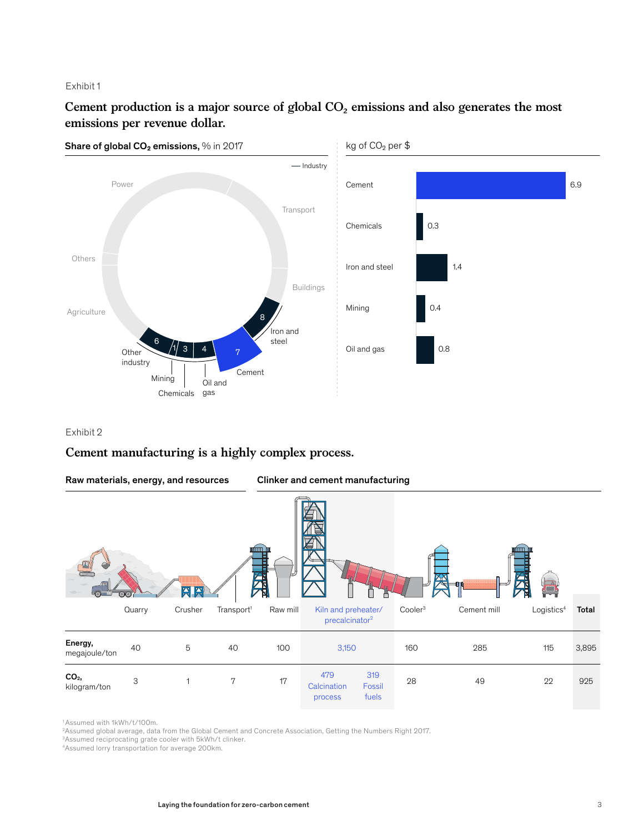#### Exhibit 1

# Cement production is a major source of global CO<sub>2</sub> emissions and also generates the most **emissions per revenue dollar.**



#### Exhibit 2

# **Cement manufacturing is a highly complex process.**



1 Assumed with 1kWh/t/100m.

2 Assumed global average, data from the Global Cement and Concrete Association, Getting the Numbers Right 2017.

3 Assumed reciprocating grate cooler with 5kWh/t clinker.

4 Assumed lorry transportation for average 200km.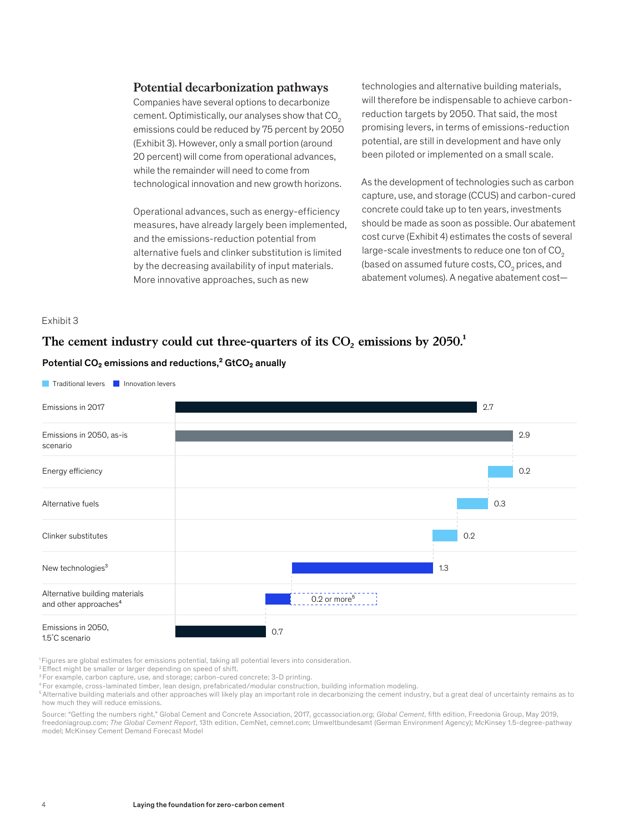#### **Potential decarbonization pathways**

Companies have several options to decarbonize cement. Optimistically, our analyses show that CO<sub>2</sub> emissions could be reduced by 75 percent by 2050 (Exhibit 3). However, only a small portion (around 20 percent) will come from operational advances, while the remainder will need to come from technological innovation and new growth horizons.

Operational advances, such as energy-efficiency measures, have already largely been implemented, and the emissions-reduction potential from alternative fuels and clinker substitution is limited by the decreasing availability of input materials. More innovative approaches, such as new

technologies and alternative building materials, will therefore be indispensable to achieve carbonreduction targets by 2050. That said, the most promising levers, in terms of emissions-reduction potential, are still in development and have only been piloted or implemented on a small scale.

As the development of technologies such as carbon capture, use, and storage (CCUS) and carbon-cured concrete could take up to ten years, investments should be made as soon as possible. Our abatement cost curve (Exhibit 4) estimates the costs of several large-scale investments to reduce one ton of CO<sub>2</sub> (based on assumed future costs, CO $_{\rm 2}$  prices, and abatement volumes). A negative abatement cost—

#### Exhibit 3

# The cement industry could cut three-quarters of its  $CO<sub>2</sub>$  emissions by  $2050<sup>1</sup>$

#### Potential CO<sub>2</sub> emissions and reductions,<sup>2</sup> GtCO<sub>2</sub> anually



1 Figures are global estimates for emissions potential, taking all potential levers into consideration.

<sup>2</sup> Effect might be smaller or larger depending on speed of shift.

<sup>3</sup> For example, carbon capture, use, and storage; carbon-cured concrete; 3-D printing.

4 For example, cross-laminated timber, lean design, prefabricated/modular construction, building information modeling.

5 Alternative building materials and other approaches will likely play an important role in decarbonizing the cement industry, but a great deal of uncertainty remains as to how much they will reduce emissions.

Source: "Getting the numbers right," Global Cement and Concrete Association, 2017, gccassociation.org; *Global Cement*, fth edition, Freedonia Group, May 2019, freedoniagroup.com; *The Global Cement Report*, 13th edition, CemNet, cemnet.com; Umweltbundesamt (German Environment Agency); McKinsey 1.5-degree-pathway model; McKinsey Cement Demand Forecast Model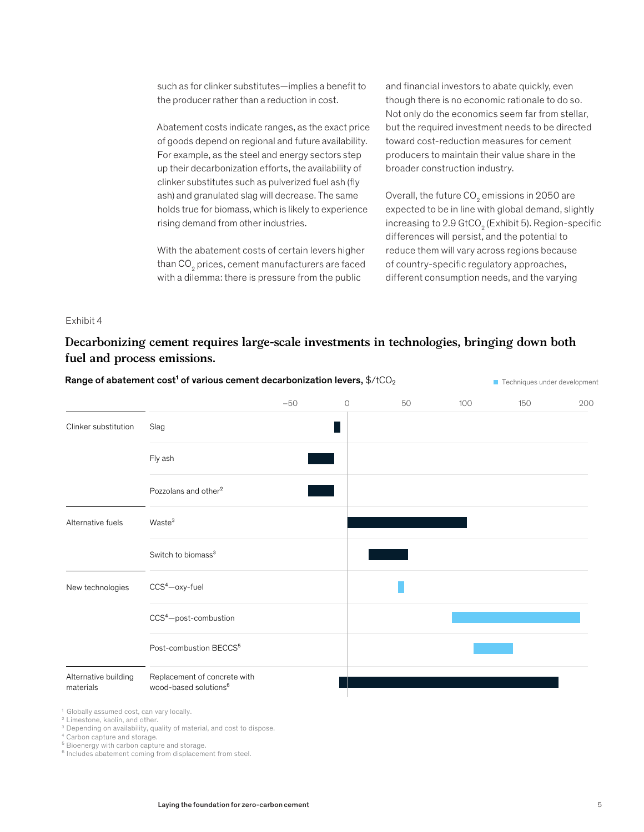such as for clinker substitutes—implies a benefit to the producer rather than a reduction in cost.

Abatement costs indicate ranges, as the exact price of goods depend on regional and future availability. For example, as the steel and energy sectors step up their decarbonization efforts, the availability of clinker substitutes such as pulverized fuel ash (fly ash) and granulated slag will decrease. The same holds true for biomass, which is likely to experience rising demand from other industries.

> With the abatement costs of certain levers higher than CO $_{\tiny 2}$  prices, cement manufacturers are faced with a dilemma: there is pressure from the public

and financial investors to abate quickly, even though there is no economic rationale to do so. Not only do the economics seem far from stellar, but the required investment needs to be directed toward cost-reduction measures for cement producers to maintain their value share in the broader construction industry.

Overall, the future CO $_{\textrm{\tiny{2}}}$  emissions in 2050 are expected to be in line with global demand, slightly increasing to 2.9 GtCO $_{\textrm{\tiny{2}}}$  (Exhibit 5). Region-specific differences will persist, and the potential to reduce them will vary across regions because of country-specific regulatory approaches, different consumption needs, and the varying

#### Exhibit 4

# **Decarbonizing cement requires large-scale investments in technologies, bringing down both fuel and process emissions.**

|                                   |                                                                   | $-50$ | $\circledcirc$ | 50 | 100 | 150 | 200 |
|-----------------------------------|-------------------------------------------------------------------|-------|----------------|----|-----|-----|-----|
| Clinker substitution              | Slag                                                              |       |                |    |     |     |     |
|                                   | Fly ash                                                           |       |                |    |     |     |     |
|                                   | Pozzolans and other <sup>2</sup>                                  |       |                |    |     |     |     |
| Alternative fuels                 | Waste <sup>3</sup>                                                |       |                |    |     |     |     |
|                                   | Switch to biomass <sup>3</sup>                                    |       |                |    |     |     |     |
| New technologies                  | $CCS4$ -oxy-fuel                                                  |       |                |    |     |     |     |
|                                   | CCS <sup>4</sup> -post-combustion                                 |       |                |    |     |     |     |
|                                   | Post-combustion BECCS <sup>5</sup>                                |       |                |    |     |     |     |
| Alternative building<br>materials | Replacement of concrete with<br>wood-based solutions <sup>6</sup> |       |                |    |     |     |     |

<sup>3</sup> Depending on availability, quality of material, and cost to dispose.

4 Carbon capture and storage.

<sup>5</sup> Bioenergy with carbon capture and storage.

<sup>6</sup> Includes abatement coming from displacement from steel.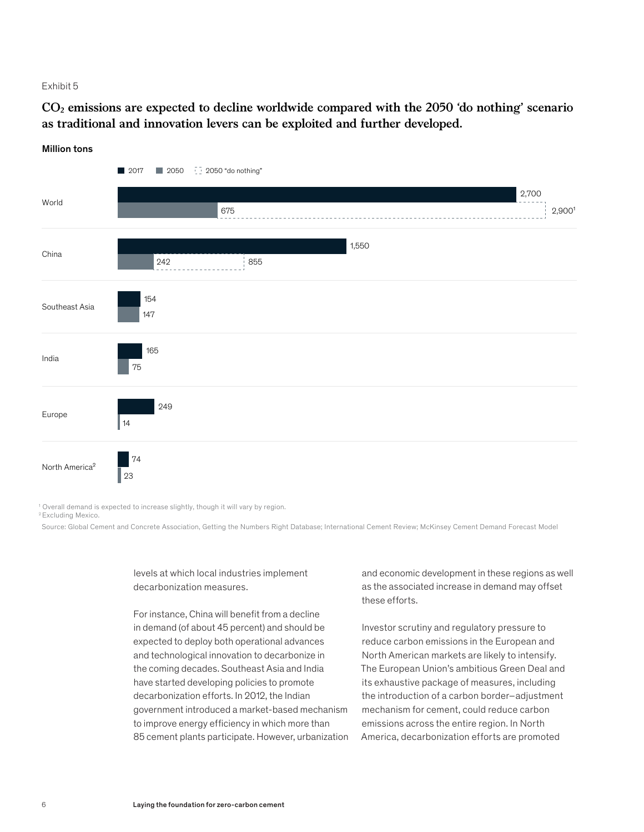#### Exhibit 5

**CO2 emissions are expected to decline worldwide compared with the 2050 'do nothing' scenario as traditional and innovation levers can be exploited and further developed.**

#### Million tons



<sup>1</sup> Overall demand is expected to increase slightly, though it will vary by region.

2 Excluding Mexico.

Source: Global Cement and Concrete Association, Getting the Numbers Right Database; International Cement Review; McKinsey Cement Demand Forecast Model

levels at which local industries implement decarbonization measures.

For instance, China will benefit from a decline in demand (of about 45 percent) and should be expected to deploy both operational advances and technological innovation to decarbonize in the coming decades. Southeast Asia and India have started developing policies to promote decarbonization efforts. In 2012, the Indian government introduced a market-based mechanism to improve energy efficiency in which more than 85 cement plants participate. However, urbanization

and economic development in these regions as well as the associated increase in demand may offset these efforts.

Investor scrutiny and regulatory pressure to reduce carbon emissions in the European and North American markets are likely to intensify. The European Union's ambitious Green Deal and its exhaustive package of measures, including the introduction of a carbon border–adjustment mechanism for cement, could reduce carbon emissions across the entire region. In North America, decarbonization efforts are promoted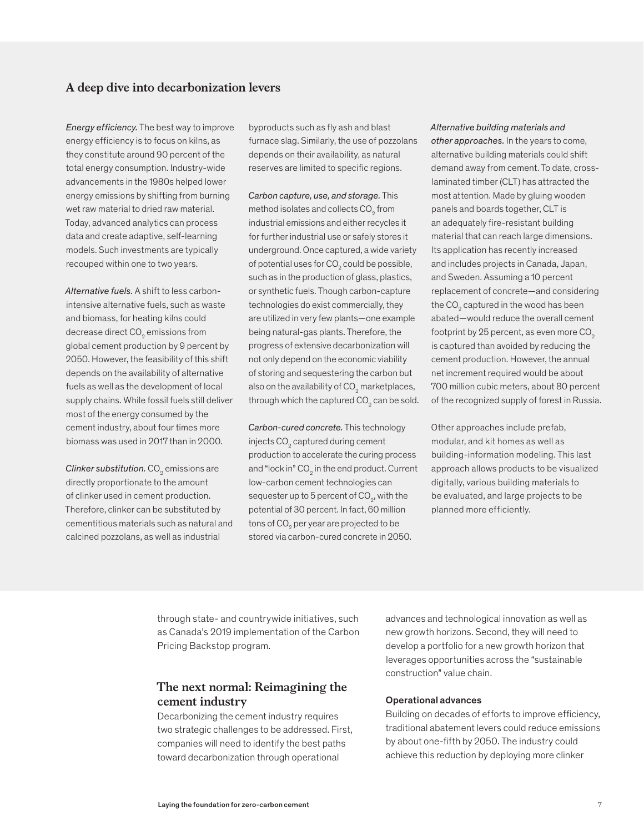## **A deep dive into decarbonization levers**

*Energy efficiency.* The best way to improve energy efficiency is to focus on kilns, as they constitute around 90 percent of the total energy consumption. Industry-wide advancements in the 1980s helped lower energy emissions by shifting from burning wet raw material to dried raw material. Today, advanced analytics can process data and create adaptive, self-learning models. Such investments are typically recouped within one to two years.

*Alternative fuels.* A shift to less carbonintensive alternative fuels, such as waste and biomass, for heating kilns could decrease direct CO $_{\textrm{\tiny{2}}}$  emissions from global cement production by 9 percent by 2050. However, the feasibility of this shift depends on the availability of alternative fuels as well as the development of local supply chains. While fossil fuels still deliver most of the energy consumed by the cement industry, about four times more biomass was used in 2017 than in 2000.

 ${\it Clinker}$  substitution.  ${\rm CO}_2$  emissions are directly proportionate to the amount of clinker used in cement production. Therefore, clinker can be substituted by cementitious materials such as natural and calcined pozzolans, as well as industrial

byproducts such as fly ash and blast furnace slag. Similarly, the use of pozzolans depends on their availability, as natural reserves are limited to specific regions.

*Carbon capture, use, and storage.* This method isolates and collects  $\mathtt{CO}_2^{}$  from industrial emissions and either recycles it for further industrial use or safely stores it underground. Once captured, a wide variety of potential uses for CO $_{\textrm{\tiny{2}}}$  could be possible, such as in the production of glass, plastics, or synthetic fuels. Though carbon-capture technologies do exist commercially, they are utilized in very few plants—one example being natural-gas plants. Therefore, the progress of extensive decarbonization will not only depend on the economic viability of storing and sequestering the carbon but also on the availability of CO $_{\rm 2}$  marketplaces, through which the captured CO $_{\textrm{\tiny{2}}}$  can be sold.

*Carbon-cured concrete.* This technology injects CO $_{\textrm{\tiny{2}}}$  captured during cement production to accelerate the curing process and "lock in" CO $_{\textrm{\tiny{2}}}$  in the end product. Current low-carbon cement technologies can sequester up to 5 percent of CO $_{\textrm{\tiny{\tiny{2}}}}$ , with the potential of 30 percent. In fact, 60 million tons of CO $_{\textrm{\tiny{2}}}$  per year are projected to be stored via carbon-cured concrete in 2050.

*Alternative building materials and other approaches.* In the years to come, alternative building materials could shift demand away from cement. To date, crosslaminated timber (CLT) has attracted the most attention. Made by gluing wooden panels and boards together, CLT is an adequately fire-resistant building material that can reach large dimensions. Its application has recently increased and includes projects in Canada, Japan, and Sweden. Assuming a 10 percent replacement of concrete—and considering the CO $_{\tiny 2}$  captured in the wood has been abated—would reduce the overall cement footprint by 25 percent, as even more  $CO<sub>2</sub>$ is captured than avoided by reducing the cement production. However, the annual net increment required would be about 700 million cubic meters, about 80 percent of the recognized supply of forest in Russia.

Other approaches include prefab, modular, and kit homes as well as building-information modeling. This last approach allows products to be visualized digitally, various building materials to be evaluated, and large projects to be planned more efficiently.

through state- and countrywide initiatives, such as Canada's 2019 implementation of the Carbon Pricing Backstop program.

# **The next normal: Reimagining the cement industry**

Decarbonizing the cement industry requires two strategic challenges to be addressed. First, companies will need to identify the best paths toward decarbonization through operational

advances and technological innovation as well as new growth horizons. Second, they will need to develop a portfolio for a new growth horizon that leverages opportunities across the "sustainable construction" value chain.

#### Operational advances

Building on decades of efforts to improve efficiency, traditional abatement levers could reduce emissions by about one-fifth by 2050. The industry could achieve this reduction by deploying more clinker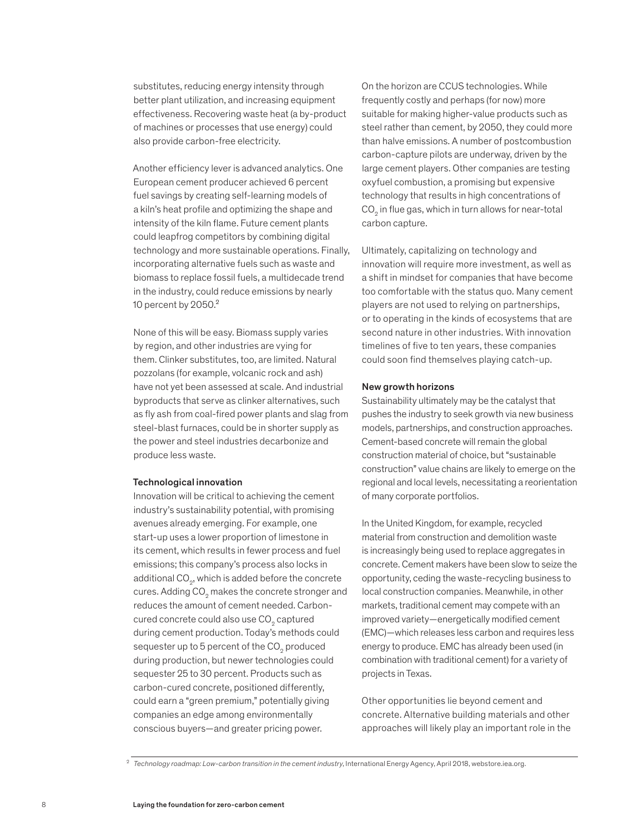substitutes, reducing energy intensity through better plant utilization, and increasing equipment effectiveness. Recovering waste heat (a by-product of machines or processes that use energy) could also provide carbon-free electricity.

Another efficiency lever is advanced analytics. One European cement producer achieved 6 percent fuel savings by creating self-learning models of a kiln's heat profile and optimizing the shape and intensity of the kiln flame. Future cement plants could leapfrog competitors by combining digital technology and more sustainable operations. Finally, incorporating alternative fuels such as waste and biomass to replace fossil fuels, a multidecade trend in the industry, could reduce emissions by nearly 10 percent by 2050.²

None of this will be easy. Biomass supply varies by region, and other industries are vying for them. Clinker substitutes, too, are limited. Natural pozzolans (for example, volcanic rock and ash) have not yet been assessed at scale. And industrial byproducts that serve as clinker alternatives, such as fly ash from coal-fired power plants and slag from steel-blast furnaces, could be in shorter supply as the power and steel industries decarbonize and produce less waste.

#### Technological innovation

Innovation will be critical to achieving the cement industry's sustainability potential, with promising avenues already emerging. For example, one start-up uses a lower proportion of limestone in its cement, which results in fewer process and fuel emissions; this company's process also locks in additional CO $_{\textrm{\tiny{2}}}$ , which is added before the concrete cures. Adding CO $_{\textrm{\tiny{2}}}$  makes the concrete stronger and reduces the amount of cement needed. Carboncured concrete could also use CO $_{\textrm{\tiny{2}}}$  captured during cement production. Today's methods could sequester up to 5 percent of the CO $_{\tiny 2}$  produced during production, but newer technologies could sequester 25 to 30 percent. Products such as carbon-cured concrete, positioned differently, could earn a "green premium," potentially giving companies an edge among environmentally conscious buyers—and greater pricing power.

On the horizon are CCUS technologies. While frequently costly and perhaps (for now) more suitable for making higher-value products such as steel rather than cement, by 2050, they could more than halve emissions. A number of postcombustion carbon-capture pilots are underway, driven by the large cement players. Other companies are testing oxyfuel combustion, a promising but expensive technology that results in high concentrations of  $\mathrm{CO}_2$  in flue gas, which in turn allows for near-total carbon capture.

Ultimately, capitalizing on technology and innovation will require more investment, as well as a shift in mindset for companies that have become too comfortable with the status quo. Many cement players are not used to relying on partnerships, or to operating in the kinds of ecosystems that are second nature in other industries. With innovation timelines of five to ten years, these companies could soon find themselves playing catch-up.

#### New growth horizons

Sustainability ultimately may be the catalyst that pushes the industry to seek growth via new business models, partnerships, and construction approaches. Cement-based concrete will remain the global construction material of choice, but "sustainable construction" value chains are likely to emerge on the regional and local levels, necessitating a reorientation of many corporate portfolios.

In the United Kingdom, for example, recycled material from construction and demolition waste is increasingly being used to replace aggregates in concrete. Cement makers have been slow to seize the opportunity, ceding the waste-recycling business to local construction companies. Meanwhile, in other markets, traditional cement may compete with an improved variety—energetically modified cement (EMC)—which releases less carbon and requires less energy to produce. EMC has already been used (in combination with traditional cement) for a variety of projects in Texas.

Other opportunities lie beyond cement and concrete. Alternative building materials and other approaches will likely play an important role in the

2 *Technology roadmap: Low-carbon transition in the cement industry*, International Energy Agency, April 2018, webstore.iea.org.